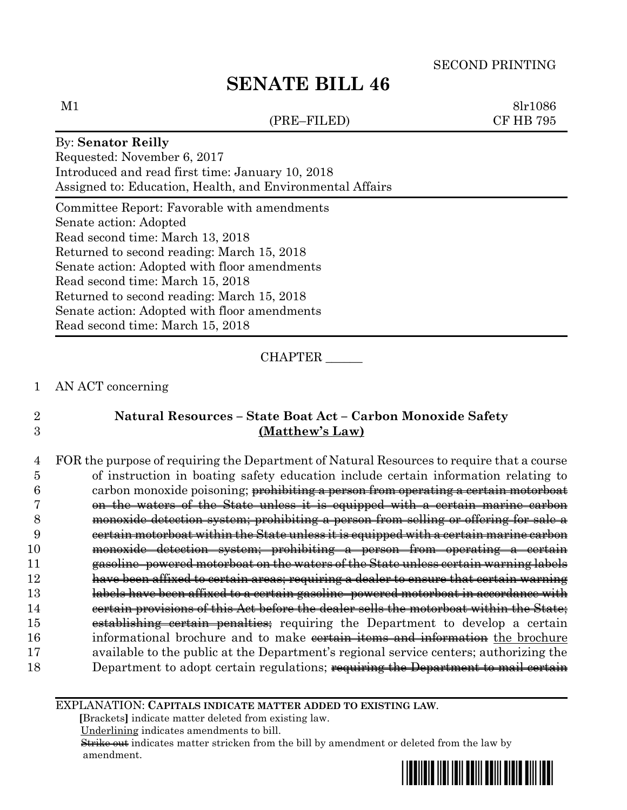# **SENATE BILL 46**

(PRE–FILED) CF HB 795

 $M1$  8lr1086

### By: **Senator Reilly**

Requested: November 6, 2017 Introduced and read first time: January 10, 2018 Assigned to: Education, Health, and Environmental Affairs

Committee Report: Favorable with amendments Senate action: Adopted Read second time: March 13, 2018 Returned to second reading: March 15, 2018 Senate action: Adopted with floor amendments Read second time: March 15, 2018 Returned to second reading: March 15, 2018 Senate action: Adopted with floor amendments Read second time: March 15, 2018

CHAPTER \_\_\_\_\_\_

### 1 AN ACT concerning

# 2 **Natural Resources – State Boat Act – Carbon Monoxide Safety**  3 **(Matthew's Law)**

 FOR the purpose of requiring the Department of Natural Resources to require that a course of instruction in boating safety education include certain information relating to 6 carbon monoxide poisoning; <del>prohibiting a person from operating a certain motorboat</del> on the waters of the State unless it is equipped with a certain marine carbon monoxide detection system; prohibiting a person from selling or offering for sale a certain motorboat within the State unless it is equipped with a certain marine carbon monoxide detection system; prohibiting a person from operating a certain gasoline–powered motorboat on the waters of the State unless certain warning labels have been affixed to certain areas; requiring a dealer to ensure that certain warning labels have been affixed to a certain gasoline–powered motorboat in accordance with certain provisions of this Act before the dealer sells the motorboat within the State; 15 establishing certain penalties; requiring the Department to develop a certain 16 informational brochure and to make vertain items and information the brochure available to the public at the Department's regional service centers; authorizing the 18 Department to adopt certain regulations; requiring the Department to mail certain

#### EXPLANATION: **CAPITALS INDICATE MATTER ADDED TO EXISTING LAW**.

 **[**Brackets**]** indicate matter deleted from existing law.

Underlining indicates amendments to bill.

 Strike out indicates matter stricken from the bill by amendment or deleted from the law by amendment.

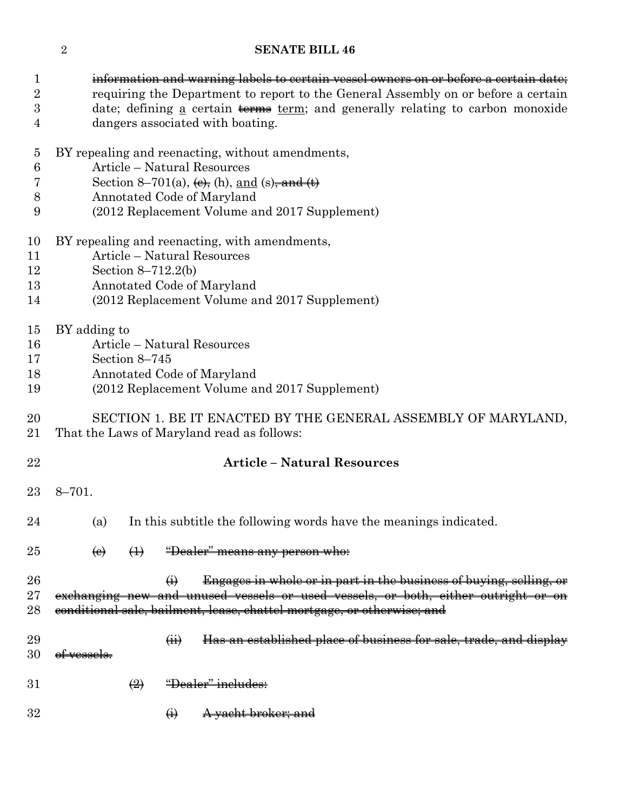# **SENATE BILL 46**

information and warning labels to certain vessel owners on or before a certain date;

| × |  |
|---|--|
|   |  |
|   |  |
|   |  |

| $\sqrt{2}$<br>3<br>$\overline{4}$                     | requiring the Department to report to the General Assembly on or before a certain<br>date; defining <u>a</u> certain terms term; and generally relating to carbon monoxide<br>dangers associated with boating.                                         |  |  |  |  |  |
|-------------------------------------------------------|--------------------------------------------------------------------------------------------------------------------------------------------------------------------------------------------------------------------------------------------------------|--|--|--|--|--|
| $\overline{5}$<br>$\boldsymbol{6}$<br>7<br>$8\,$<br>9 | BY repealing and reenacting, without amendments,<br>Article - Natural Resources<br>Section 8–701(a), $\leftrightarrow$ , (h), and (s), and $\leftrightarrow$<br>Annotated Code of Maryland<br>(2012 Replacement Volume and 2017 Supplement)            |  |  |  |  |  |
| 10<br>11<br>12<br>13<br>14                            | BY repealing and reenacting, with amendments,<br>Article - Natural Resources<br>Section $8-712.2(b)$<br>Annotated Code of Maryland<br>(2012 Replacement Volume and 2017 Supplement)                                                                    |  |  |  |  |  |
| 15<br>16<br>17<br>18<br>19                            | BY adding to<br>Article – Natural Resources<br>Section 8-745<br>Annotated Code of Maryland<br>(2012 Replacement Volume and 2017 Supplement)                                                                                                            |  |  |  |  |  |
| 20<br>21                                              | SECTION 1. BE IT ENACTED BY THE GENERAL ASSEMBLY OF MARYLAND,<br>That the Laws of Maryland read as follows:                                                                                                                                            |  |  |  |  |  |
| 22                                                    | <b>Article - Natural Resources</b>                                                                                                                                                                                                                     |  |  |  |  |  |
| 23                                                    | $8 - 701.$                                                                                                                                                                                                                                             |  |  |  |  |  |
| 24                                                    | In this subtitle the following words have the meanings indicated.<br>(a)                                                                                                                                                                               |  |  |  |  |  |
| 25                                                    | $\leftrightarrow$<br>"Dealer" means any person who:<br>$\left(\mathbf{e}\right)$                                                                                                                                                                       |  |  |  |  |  |
| 26<br>27<br>28                                        | Engages in whole or in part in the business of buying, selling, or<br>$\leftrightarrow$<br>exchanging new and unused vessels or used vessels, or both, either outright or on<br>conditional sale, bailment, lease, chattel mortgage, or otherwise; and |  |  |  |  |  |
| 29<br>30                                              | Has an established place of business for sale, trade, and display<br>$\overline{(\overline{H})}$<br>of vessels.                                                                                                                                        |  |  |  |  |  |
| 31                                                    | "Dealer" includes:<br>$\left(\frac{2}{2}\right)$                                                                                                                                                                                                       |  |  |  |  |  |

32  $\qquad \qquad \bullet$  A yacht broker; and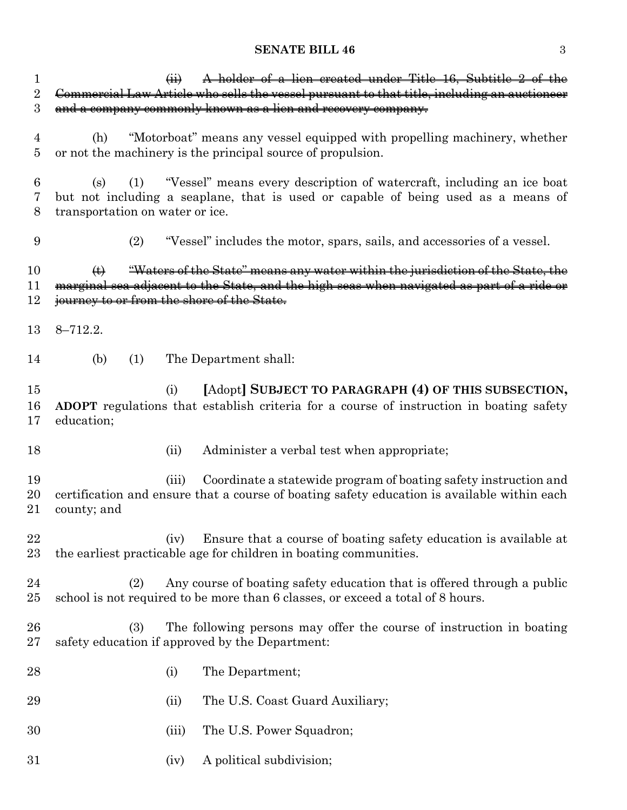# **SENATE BILL 46** 3

| 1              | A holder of a lien created under Title 16, Subtitle 2 of the<br>$\left( \frac{1}{2} \right)$   |
|----------------|------------------------------------------------------------------------------------------------|
| $\overline{2}$ | Commercial Law Article who sells the vessel pursuant to that title, including an auctioneer    |
| 3              | and a company commonly known as a lien and recovery company.                                   |
|                |                                                                                                |
| 4              | "Motorboat" means any vessel equipped with propelling machinery, whether<br>(h)                |
| 5              | or not the machinery is the principal source of propulsion.                                    |
|                |                                                                                                |
|                |                                                                                                |
| 6              | "Vessel" means every description of watercraft, including an ice boat<br>(1)<br>(s)            |
| 7              | but not including a seaplane, that is used or capable of being used as a means of              |
| 8              | transportation on water or ice.                                                                |
|                |                                                                                                |
| 9              | (2)<br>"Vessel" includes the motor, spars, sails, and accessories of a vessel.                 |
|                |                                                                                                |
| 10             | "Waters of the State" means any water within the jurisdiction of the State, the<br>$\bigoplus$ |
| 11             | marginal sea adjacent to the State, and the high seas when navigated as part of a ride or      |
|                |                                                                                                |
| 12             | journey to or from the shore of the State.                                                     |
|                |                                                                                                |
| 13             | $8 - 712.2.$                                                                                   |
|                |                                                                                                |
| 14             | (b)<br>The Department shall:<br>(1)                                                            |
|                |                                                                                                |
| 15             | [Adopt] SUBJECT TO PARAGRAPH (4) OF THIS SUBSECTION,<br>(i)                                    |
|                |                                                                                                |
| 16             | ADOPT regulations that establish criteria for a course of instruction in boating safety        |
| 17             | education;                                                                                     |
|                |                                                                                                |
| 18             | Administer a verbal test when appropriate;<br>(ii)                                             |
|                |                                                                                                |
|                |                                                                                                |
| 19             | Coordinate a statewide program of boating safety instruction and<br>(iii)                      |
|                |                                                                                                |
| 20             | certification and ensure that a course of boating safety education is available within each    |
| 21             | county; and                                                                                    |
|                |                                                                                                |
| 22             | Ensure that a course of boating safety education is available at<br>(iv)                       |
| 23             | the earliest practicable age for children in boating communities.                              |
|                |                                                                                                |
| $\bf{24}$      | Any course of boating safety education that is offered through a public<br>(2)                 |
|                |                                                                                                |
| 25             | school is not required to be more than 6 classes, or exceed a total of 8 hours.                |
|                |                                                                                                |
| 26             | The following persons may offer the course of instruction in boating<br>(3)                    |
| 27             | safety education if approved by the Department:                                                |
|                |                                                                                                |
| 28             | The Department;<br>(i)                                                                         |
|                |                                                                                                |
| 29             | The U.S. Coast Guard Auxiliary;<br>(ii)                                                        |
|                |                                                                                                |
| 30             |                                                                                                |
|                | The U.S. Power Squadron;<br>(iii)                                                              |
| 31             | A political subdivision;<br>(iv)                                                               |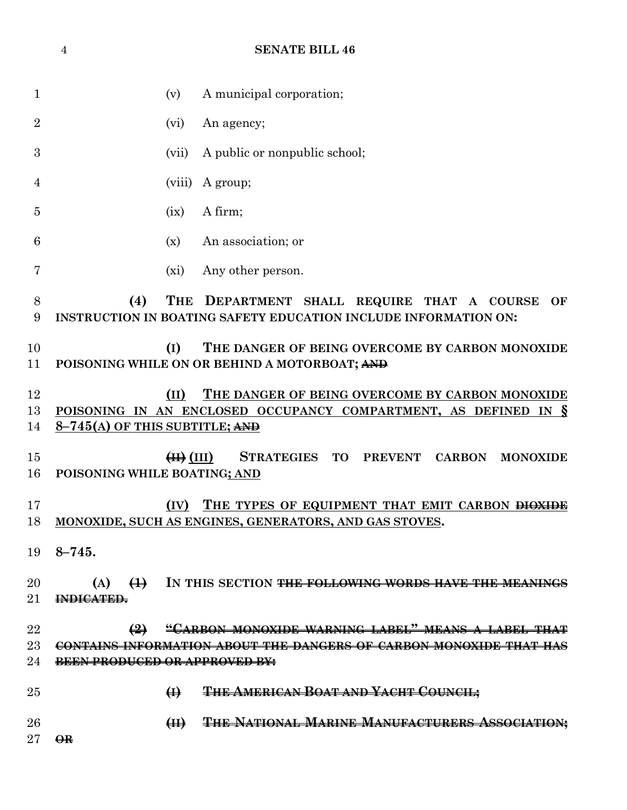|                | <b>SENATE BILL 46</b><br>$\overline{4}$ |                                                           |                                                                                                                          |  |
|----------------|-----------------------------------------|-----------------------------------------------------------|--------------------------------------------------------------------------------------------------------------------------|--|
|                |                                         |                                                           |                                                                                                                          |  |
| $\mathbf 1$    |                                         | (v)                                                       | A municipal corporation;                                                                                                 |  |
| $\overline{2}$ |                                         | (vi)                                                      | An agency;                                                                                                               |  |
| 3              |                                         | (vii)                                                     | A public or nonpublic school;                                                                                            |  |
| 4              |                                         | (viii)                                                    | A group;                                                                                                                 |  |
| 5              |                                         | (ix)                                                      | A firm;                                                                                                                  |  |
| 6              |                                         | (x)                                                       | An association; or                                                                                                       |  |
| 7              |                                         | (xi)                                                      | Any other person.                                                                                                        |  |
| 8<br>9         | (4)                                     | <b>THE</b>                                                | DEPARTMENT SHALL REQUIRE THAT A COURSE<br>OF<br>INSTRUCTION IN BOATING SAFETY EDUCATION INCLUDE INFORMATION ON:          |  |
| 10<br>11       |                                         | (I)                                                       | THE DANGER OF BEING OVERCOME BY CARBON MONOXIDE<br>POISONING WHILE ON OR BEHIND A MOTORBOAT; AND                         |  |
| 12<br>13<br>14 | $8-745$ (A) OF THIS SUBTITLE; AND       | (II)                                                      | THE DANGER OF BEING OVERCOME BY CARBON MONOXIDE<br>POISONING IN AN ENCLOSED OCCUPANCY COMPARTMENT, AS DEFINED IN §       |  |
| 15<br>16       | POISONING WHILE BOATING; AND            | $\left( \mathrm{H} \right)$ $\left( \mathrm{III} \right)$ | <b>STRATEGIES</b><br><b>PREVENT</b><br><b>TO</b><br><b>CARBON</b><br><b>MONOXIDE</b>                                     |  |
| 17<br>18       |                                         | (IV)                                                      | THE TYPES OF EQUIPMENT THAT EMIT CARBON <del>DIOXIDE</del><br>MONOXIDE, SUCH AS ENGINES, GENERATORS, AND GAS STOVES.     |  |
| 19             | $8 - 745.$                              |                                                           |                                                                                                                          |  |
| 20<br>21       | $\leftrightarrow$<br>(A)<br>INDICATED.  |                                                           | IN THIS SECTION <del>THE FOLLOWING WORDS HAVE THE MEANINGS</del>                                                         |  |
| 22<br>23<br>24 | BEEN PRODUCED OR APPROVED BY:           |                                                           | "CARBON MONOXIDE WARNING LABEL" MEANS A LABEL THAT<br>CONTAINS INFORMATION ABOUT THE DANGERS OF CARBON MONOXIDE THAT HAS |  |
| 25             |                                         | $\bigoplus$                                               | THE AMERICAN BOAT AND YACHT COUNCIL;                                                                                     |  |
| 26<br>27       | $\Theta$ <b>R</b>                       | $\left( \mathrm{H} \right)$                               | <b>THE NATIONAL MARINE MANUFACTURERS ASSOCIATION:</b>                                                                    |  |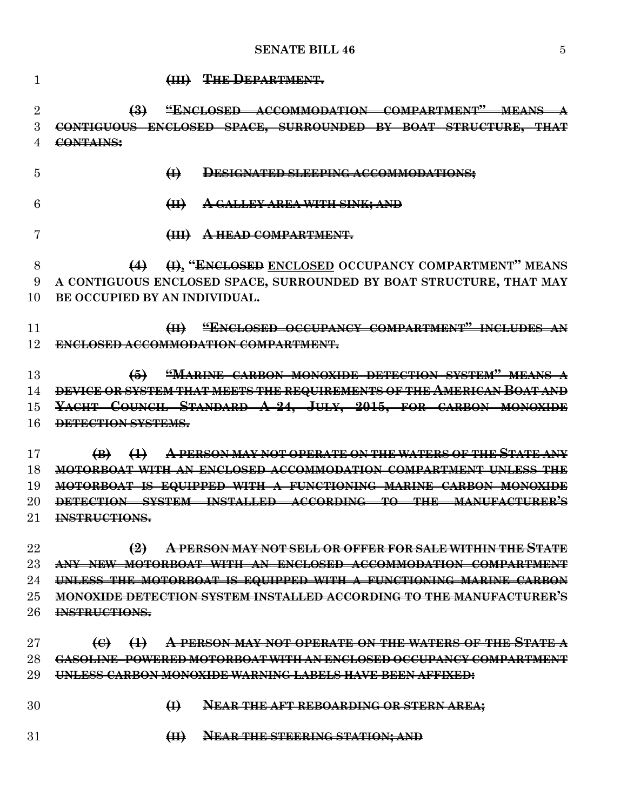# **SENATE BILL 46** 5

| 1              | <b>THE DEPARTMENT.</b><br>$\left(\frac{1}{2} + \frac{1}{2} + \frac{1}{2} + \frac{1}{2} + \frac{1}{2} + \frac{1}{2} + \frac{1}{2} + \frac{1}{2} + \frac{1}{2} + \frac{1}{2} + \frac{1}{2} + \frac{1}{2} + \frac{1}{2} + \frac{1}{2} + \frac{1}{2} + \frac{1}{2} + \frac{1}{2} + \frac{1}{2} + \frac{1}{2} + \frac{1}{2} + \frac{1}{2} + \frac{1}{2} + \frac{1}{2} + \frac{1}{2} + \frac{1}{2} + \frac{1}{2} + \frac{1}{2} + \frac$ |
|----------------|-----------------------------------------------------------------------------------------------------------------------------------------------------------------------------------------------------------------------------------------------------------------------------------------------------------------------------------------------------------------------------------------------------------------------------------|
| $\overline{2}$ | "ENCLOSED ACCOMMODATION COMPARTMENT" MEANS<br>$\bigoplus$                                                                                                                                                                                                                                                                                                                                                                         |
| 3              | CONTIGUOUS ENCLOSED SPACE, SURROUNDED BY BOAT STRUCTURE, THAT                                                                                                                                                                                                                                                                                                                                                                     |
|                | CONTAINS:                                                                                                                                                                                                                                                                                                                                                                                                                         |
| 5              | $\bigoplus$<br>DESIGNATED SLEEPING ACCOMMODATIONS;                                                                                                                                                                                                                                                                                                                                                                                |
| 6              | <del>A GALLEY AREA WITH SINK; AND</del><br>H                                                                                                                                                                                                                                                                                                                                                                                      |
| 7              | <b>HEAD COMPARTMENT.</b>                                                                                                                                                                                                                                                                                                                                                                                                          |
| 8              | (4) (i), "ENCLOSED ENCLOSED OCCUPANCY COMPARTMENT" MEANS                                                                                                                                                                                                                                                                                                                                                                          |
| 9              | A CONTIGUOUS ENCLOSED SPACE, SURROUNDED BY BOAT STRUCTURE, THAT MAY                                                                                                                                                                                                                                                                                                                                                               |
| 10             | BE OCCUPIED BY AN INDIVIDUAL.                                                                                                                                                                                                                                                                                                                                                                                                     |
| 11             | "ENCLOSED OCCUPANCY COMPARTMENT" INCLUDES AN<br>H                                                                                                                                                                                                                                                                                                                                                                                 |
| 12             | <b>ENCLOSED ACCOMMODATION COMPARTMENT.</b>                                                                                                                                                                                                                                                                                                                                                                                        |
| 13             | "MARINE CARBON MONOXIDE DETECTION SYSTEM" MEANS A<br>$\bigoplus$                                                                                                                                                                                                                                                                                                                                                                  |
| 14             | DEVICE OR SYSTEM THAT MEETS THE REQUIREMENTS OF THE AMERICAN BOAT AND                                                                                                                                                                                                                                                                                                                                                             |
| 15             | YACHT COUNCIL STANDARD A-24, JULY, 2015, FOR CARBON MONOXIDE                                                                                                                                                                                                                                                                                                                                                                      |
| 16             | DETECTION SYSTEMS.                                                                                                                                                                                                                                                                                                                                                                                                                |
| 17             | A PERSON MAY NOT OPERATE ON THE WATERS OF THE STATE ANY<br>$\bigoplus$<br>$\bigoplus$                                                                                                                                                                                                                                                                                                                                             |
| 18             | MOTORROAT WITH AN ENCLOSED ACCOMMODATION COMPARTMENT INLESS THE                                                                                                                                                                                                                                                                                                                                                                   |
| 19             | MOTORBOAT IS EQUIPPED WITH A FUNCTIONING MARINE CARBON MONOXI                                                                                                                                                                                                                                                                                                                                                                     |
| 20             | DETECTION SYSTEM INSTALLED ACCORDING TO THE MANUFACTURER'S                                                                                                                                                                                                                                                                                                                                                                        |
| 21             | INSTRUCTIONS.                                                                                                                                                                                                                                                                                                                                                                                                                     |
| 22             | $\bigoplus$<br><del>A PERSON MAY NOT SELL OR OFFER FOR SALE WITHIN THE STATE</del>                                                                                                                                                                                                                                                                                                                                                |
| 23             | ANY NEW MOTORROAT WITH AN ENCLOSED ACCOMMODATION COMPARTMENT                                                                                                                                                                                                                                                                                                                                                                      |
| 24             | UNLESS THE MOTORBOAT IS EQUIPPED WITH A FUNCTIONING MARINE CARBON                                                                                                                                                                                                                                                                                                                                                                 |
| 25             | DETECTION SYSTEM INSTALLED ACCORDING TO THE MANITEA                                                                                                                                                                                                                                                                                                                                                                               |
| 26             | INSTRUCTIONS.                                                                                                                                                                                                                                                                                                                                                                                                                     |
| 27             | <u>PERSON MAY NOT OPERATE ON THE WATERS OF THE STATE</u><br>$\Theta$<br>$\leftrightarrow$                                                                                                                                                                                                                                                                                                                                         |
| 28             | <u>GASOLINE. POWERED MOTORROAT WITH AN ENCLOSED OCCUPANCY COMPARTMENT</u>                                                                                                                                                                                                                                                                                                                                                         |
| 29             | <u>TNI ESS CARBON MONOXIDE WARNING LABELS HAVE BEEN AFFIXED:</u>                                                                                                                                                                                                                                                                                                                                                                  |
| 30             | $\bigoplus$<br><b>NEAR THE AFT REBOARDING OR STERN AREA;</b>                                                                                                                                                                                                                                                                                                                                                                      |
| 31             | <b>NEAR THE STEERING STATION; AND</b><br>$H\leftrightarrow$                                                                                                                                                                                                                                                                                                                                                                       |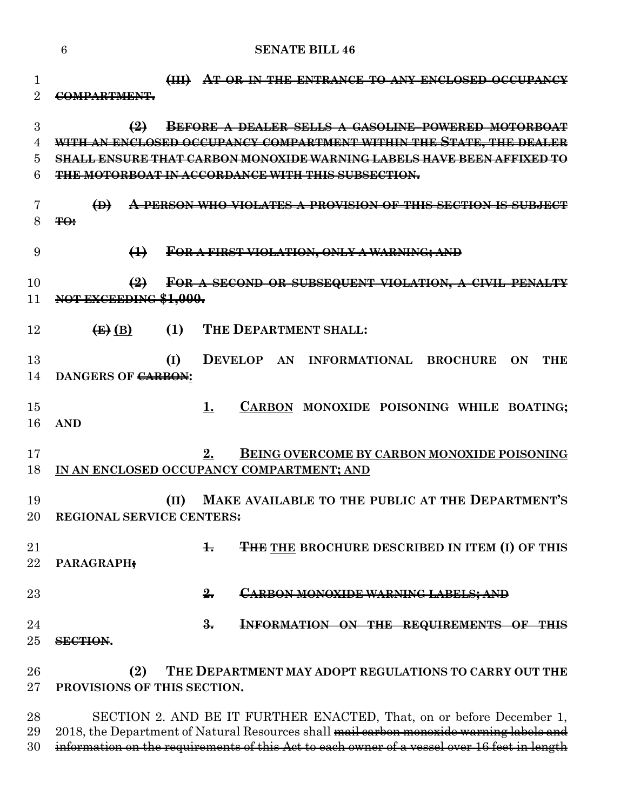|                     | 6<br><b>SENATE BILL 46</b>                                                                                                                                                                                                      |
|---------------------|---------------------------------------------------------------------------------------------------------------------------------------------------------------------------------------------------------------------------------|
| 1<br>$\overline{2}$ | H<br>AT OR IN THE ENTRANCE TO ANY ENCLOSED OCCUPANCY<br>COMPARTMENT.                                                                                                                                                            |
| 3<br>4<br>5         | $\bigoplus$<br><b>BEFORE A DEALER SELLS A GASOLINE-POWERED MOTORBOAT</b><br>WITH AN ENCLOSED OCCUPANCY COMPARTMENT WITHIN THE STATE, THE DEALER<br><u>SHALL ENSURE THAT CARRON MONOXIDE WARNING LABELS HAVE BEEN AFFIXED TO</u> |
| 6                   | THE MOTORBOAT IN ACCORDANCE WITH THIS SUBSECTION.                                                                                                                                                                               |
| 7<br>8              | $\bigoplus$<br>PERSON WHO VIOLATES A PROVISION OF THIS SECTION IS SUBJECT<br><del>TO:</del>                                                                                                                                     |
| 9                   | $\bigoplus$<br>FOR A FIRST VIOLATION, ONLY A WARNING; AND                                                                                                                                                                       |
| 10<br>11            | FOR A SECOND OR SUBSEQUENT VIOLATION, A CIVIL PENALTY<br>$\left( 2\right)$<br>NOT EXCEEDING \$1,000.                                                                                                                            |
| 12                  | THE DEPARTMENT SHALL:<br>$\left(\mathbf{E}\right)$ (B)<br>(1)                                                                                                                                                                   |
| 13<br>14            | (I)<br>DEVELOP AN INFORMATIONAL BROCHURE<br>ON<br><b>THE</b><br>DANGERS OF CARBON:                                                                                                                                              |
| 15<br>16            | CARBON MONOXIDE POISONING WHILE BOATING;<br>1.<br><b>AND</b>                                                                                                                                                                    |
| 17<br>18            | BEING OVERCOME BY CARBON MONOXIDE POISONING<br>2.<br>IN AN ENCLOSED OCCUPANCY COMPARTMENT; AND                                                                                                                                  |
| 19<br>$20\,$        | (II) MAKE AVAILABLE TO THE PUBLIC AT THE DEPARTMENT'S<br>REGIONAL SERVICE CENTERS:                                                                                                                                              |
| 21<br>22            | <b>THE THE BROCHURE DESCRIBED IN ITEM (I) OF THIS</b><br>$\pm$<br>PARAGRAPH;                                                                                                                                                    |
| 23                  | $\frac{2}{2}$<br>CARBON MONOXIDE WARNING LABELS; AND                                                                                                                                                                            |
| 24<br>25            | $\frac{2}{2}$<br>INFORMATION ON THE REQUIREMENTS OF THIS<br>SECTION.                                                                                                                                                            |
| 26<br>$27\,$        | THE DEPARTMENT MAY ADOPT REGULATIONS TO CARRY OUT THE<br>(2)<br>PROVISIONS OF THIS SECTION.                                                                                                                                     |
| 28<br>$\Omega$      | SECTION 2. AND BE IT FURTHER ENACTED, That, on or before December 1,                                                                                                                                                            |

29 2018, the Department of Natural Resources shall mail carbon monoxide warning labels and 30 information on the requirements of this Act to each owner of a vessel over 16 feet in length